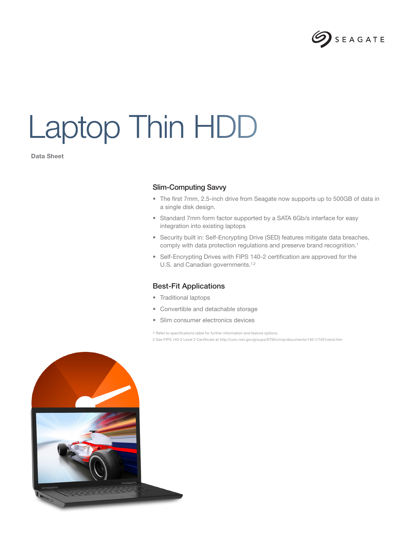

## Laptop Thin HDD

Data Sheet

## Slim-Computing Savvy

- The first 7mm, 2.5-inch drive from Seagate now supports up to 500GB of data in a single disk design.
- Standard 7mm form factor supported by a SATA 6Gb/s interface for easy integration into existing laptops
- Security built in: Self-Encrypting Drive (SED) features mitigate data breaches, comply with data protection regulations and preserve brand recognition.<sup>1</sup>
- Self-Encrypting Drives with FIPS 140-2 certification are approved for the U.S. and Canadian governments.<sup>1,2</sup>

## Best-Fit Applications

- Traditional laptops
- Convertible and detachable storage
- Slim consumer electronics devices

1 Refer to specifications table for further information and feature options. 2 See FIPS 140-2 Level 2 Certificate at http://csrc.nist.gov/groups/STM/cmvp/documents/140-1/1401vend.htm